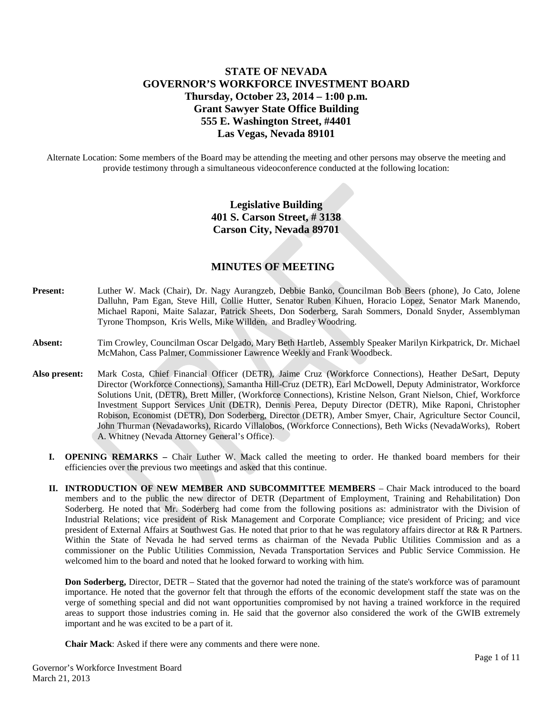# **STATE OF NEVADA GOVERNOR'S WORKFORCE INVESTMENT BOARD Thursday, October 23, 2014 – 1:00 p.m. Grant Sawyer State Office Building 555 E. Washington Street, #4401 Las Vegas, Nevada 89101**

Alternate Location: Some members of the Board may be attending the meeting and other persons may observe the meeting and provide testimony through a simultaneous videoconference conducted at the following location:

# **Legislative Building 401 S. Carson Street, # 3138 Carson City, Nevada 89701**

# **MINUTES OF MEETING**

- **Present:** Luther W. Mack (Chair), Dr. Nagy Aurangzeb, Debbie Banko, Councilman Bob Beers (phone), Jo Cato, Jolene Dalluhn, Pam Egan, Steve Hill, Collie Hutter, Senator Ruben Kihuen, Horacio Lopez, Senator Mark Manendo, Michael Raponi, Maite Salazar, Patrick Sheets, Don Soderberg, Sarah Sommers, Donald Snyder, Assemblyman Tyrone Thompson, Kris Wells, Mike Willden, and Bradley Woodring.
- **Absent:** Tim Crowley, Councilman Oscar Delgado, Mary Beth Hartleb, Assembly Speaker Marilyn Kirkpatrick, Dr. Michael McMahon, Cass Palmer, Commissioner Lawrence Weekly and Frank Woodbeck.
- **Also present:** Mark Costa, Chief Financial Officer (DETR), Jaime Cruz (Workforce Connections), Heather DeSart, Deputy Director (Workforce Connections), Samantha Hill-Cruz (DETR), Earl McDowell, Deputy Administrator, Workforce Solutions Unit, (DETR), Brett Miller, (Workforce Connections), Kristine Nelson, Grant Nielson, Chief, Workforce Investment Support Services Unit (DETR), Dennis Perea, Deputy Director (DETR), Mike Raponi, Christopher Robison, Economist (DETR), Don Soderberg, Director (DETR), Amber Smyer, Chair, Agriculture Sector Council, John Thurman (Nevadaworks), Ricardo Villalobos, (Workforce Connections), Beth Wicks (NevadaWorks), Robert A. Whitney (Nevada Attorney General's Office).
	- **I. OPENING REMARKS –** Chair Luther W. Mack called the meeting to order. He thanked board members for their efficiencies over the previous two meetings and asked that this continue.
	- **II. INTRODUCTION OF NEW MEMBER AND SUBCOMMITTEE MEMBERS** Chair Mack introduced to the board members and to the public the new director of DETR (Department of Employment, Training and Rehabilitation) Don Soderberg. He noted that Mr. Soderberg had come from the following positions as: administrator with the Division of Industrial Relations; vice president of Risk Management and Corporate Compliance; vice president of Pricing; and vice president of External Affairs at Southwest Gas. He noted that prior to that he was regulatory affairs director at R& R Partners. Within the State of Nevada he had served terms as chairman of the Nevada Public Utilities Commission and as a commissioner on the Public Utilities Commission, Nevada Transportation Services and Public Service Commission. He welcomed him to the board and noted that he looked forward to working with him.

**Don Soderberg,** Director, DETR – Stated that the governor had noted the training of the state's workforce was of paramount importance. He noted that the governor felt that through the efforts of the economic development staff the state was on the verge of something special and did not want opportunities compromised by not having a trained workforce in the required areas to support those industries coming in. He said that the governor also considered the work of the GWIB extremely important and he was excited to be a part of it.

**Chair Mack**: Asked if there were any comments and there were none.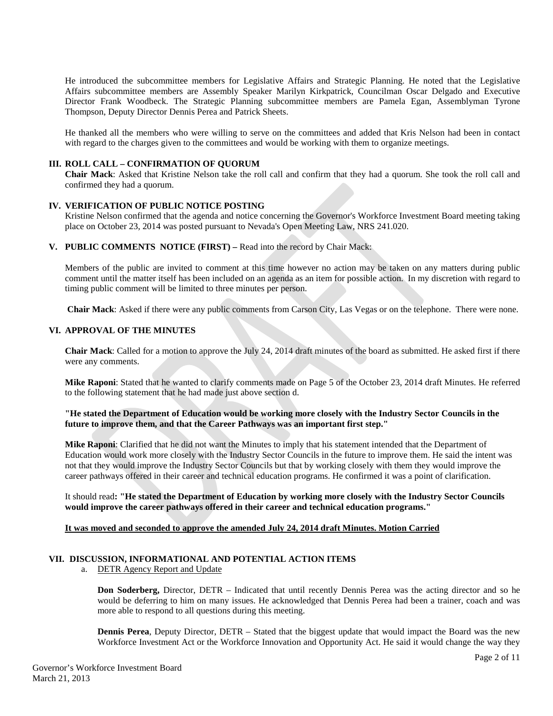He introduced the subcommittee members for Legislative Affairs and Strategic Planning. He noted that the Legislative Affairs subcommittee members are Assembly Speaker Marilyn Kirkpatrick, Councilman Oscar Delgado and Executive Director Frank Woodbeck. The Strategic Planning subcommittee members are Pamela Egan, Assemblyman Tyrone Thompson, Deputy Director Dennis Perea and Patrick Sheets.

He thanked all the members who were willing to serve on the committees and added that Kris Nelson had been in contact with regard to the charges given to the committees and would be working with them to organize meetings.

### **III. ROLL CALL – CONFIRMATION OF QUORUM**

**Chair Mack**: Asked that Kristine Nelson take the roll call and confirm that they had a quorum. She took the roll call and confirmed they had a quorum.

#### **IV. VERIFICATION OF PUBLIC NOTICE POSTING**

Kristine Nelson confirmed that the agenda and notice concerning the Governor's Workforce Investment Board meeting taking place on October 23, 2014 was posted pursuant to Nevada's Open Meeting Law, NRS 241.020.

#### **V. PUBLIC COMMENTS NOTICE (FIRST) –** Read into the record by Chair Mack:

Members of the public are invited to comment at this time however no action may be taken on any matters during public comment until the matter itself has been included on an agenda as an item for possible action. In my discretion with regard to timing public comment will be limited to three minutes per person.

**Chair Mack**: Asked if there were any public comments from Carson City, Las Vegas or on the telephone. There were none.

## **VI. APPROVAL OF THE MINUTES**

**Chair Mack**: Called for a motion to approve the July 24, 2014 draft minutes of the board as submitted. He asked first if there were any comments.

**Mike Raponi**: Stated that he wanted to clarify comments made on Page 5 of the October 23, 2014 draft Minutes. He referred to the following statement that he had made just above section d.

**"He stated the Department of Education would be working more closely with the Industry Sector Councils in the future to improve them, and that the Career Pathways was an important first step."**

**Mike Raponi**: Clarified that he did not want the Minutes to imply that his statement intended that the Department of Education would work more closely with the Industry Sector Councils in the future to improve them. He said the intent was not that they would improve the Industry Sector Councils but that by working closely with them they would improve the career pathways offered in their career and technical education programs. He confirmed it was a point of clarification.

## It should read**: "He stated the Department of Education by working more closely with the Industry Sector Councils would improve the career pathways offered in their career and technical education programs."**

### **It was moved and seconded to approve the amended July 24, 2014 draft Minutes. Motion Carried**

## **VII. DISCUSSION, INFORMATIONAL AND POTENTIAL ACTION ITEMS**

a. DETR Agency Report and Update

**Don Soderberg,** Director, DETR – Indicated that until recently Dennis Perea was the acting director and so he would be deferring to him on many issues. He acknowledged that Dennis Perea had been a trainer, coach and was more able to respond to all questions during this meeting.

**Dennis Perea**, Deputy Director, DETR – Stated that the biggest update that would impact the Board was the new Workforce Investment Act or the Workforce Innovation and Opportunity Act. He said it would change the way they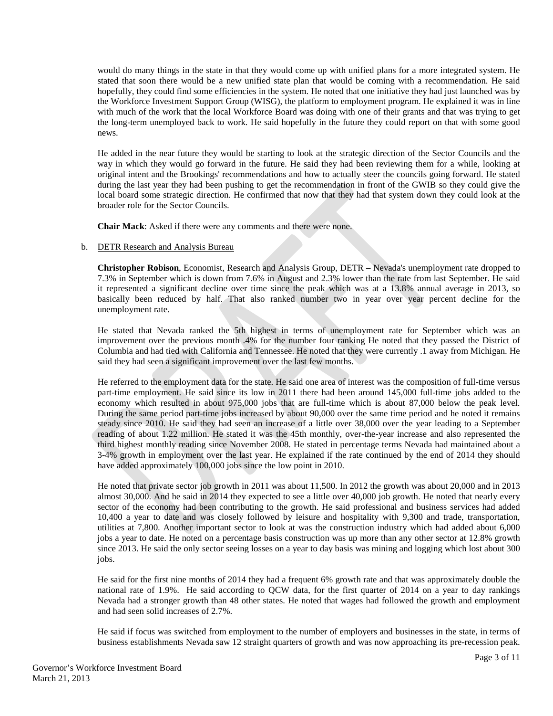would do many things in the state in that they would come up with unified plans for a more integrated system. He stated that soon there would be a new unified state plan that would be coming with a recommendation. He said hopefully, they could find some efficiencies in the system. He noted that one initiative they had just launched was by the Workforce Investment Support Group (WISG), the platform to employment program. He explained it was in line with much of the work that the local Workforce Board was doing with one of their grants and that was trying to get the long-term unemployed back to work. He said hopefully in the future they could report on that with some good news.

He added in the near future they would be starting to look at the strategic direction of the Sector Councils and the way in which they would go forward in the future. He said they had been reviewing them for a while, looking at original intent and the Brookings' recommendations and how to actually steer the councils going forward. He stated during the last year they had been pushing to get the recommendation in front of the GWIB so they could give the local board some strategic direction. He confirmed that now that they had that system down they could look at the broader role for the Sector Councils.

**Chair Mack**: Asked if there were any comments and there were none.

### b. DETR Research and Analysis Bureau

**Christopher Robison**, Economist, Research and Analysis Group, DETR – Nevada's unemployment rate dropped to 7.3% in September which is down from 7.6% in August and 2.3% lower than the rate from last September. He said it represented a significant decline over time since the peak which was at a 13.8% annual average in 2013, so basically been reduced by half. That also ranked number two in year over year percent decline for the unemployment rate.

He stated that Nevada ranked the 5th highest in terms of unemployment rate for September which was an improvement over the previous month .4% for the number four ranking He noted that they passed the District of Columbia and had tied with California and Tennessee. He noted that they were currently .1 away from Michigan. He said they had seen a significant improvement over the last few months.

He referred to the employment data for the state. He said one area of interest was the composition of full-time versus part-time employment. He said since its low in 2011 there had been around 145,000 full-time jobs added to the economy which resulted in about 975,000 jobs that are full-time which is about 87,000 below the peak level. During the same period part-time jobs increased by about 90,000 over the same time period and he noted it remains steady since 2010. He said they had seen an increase of a little over 38,000 over the year leading to a September reading of about 1.22 million. He stated it was the 45th monthly, over-the-year increase and also represented the third highest monthly reading since November 2008. He stated in percentage terms Nevada had maintained about a 3-4% growth in employment over the last year. He explained if the rate continued by the end of 2014 they should have added approximately 100,000 jobs since the low point in 2010.

He noted that private sector job growth in 2011 was about 11,500. In 2012 the growth was about 20,000 and in 2013 almost 30,000. And he said in 2014 they expected to see a little over 40,000 job growth. He noted that nearly every sector of the economy had been contributing to the growth. He said professional and business services had added 10,400 a year to date and was closely followed by leisure and hospitality with 9,300 and trade, transportation, utilities at 7,800. Another important sector to look at was the construction industry which had added about 6,000 jobs a year to date. He noted on a percentage basis construction was up more than any other sector at 12.8% growth since 2013. He said the only sector seeing losses on a year to day basis was mining and logging which lost about 300 jobs.

He said for the first nine months of 2014 they had a frequent 6% growth rate and that was approximately double the national rate of 1.9%. He said according to QCW data, for the first quarter of 2014 on a year to day rankings Nevada had a stronger growth than 48 other states. He noted that wages had followed the growth and employment and had seen solid increases of 2.7%.

He said if focus was switched from employment to the number of employers and businesses in the state, in terms of business establishments Nevada saw 12 straight quarters of growth and was now approaching its pre-recession peak.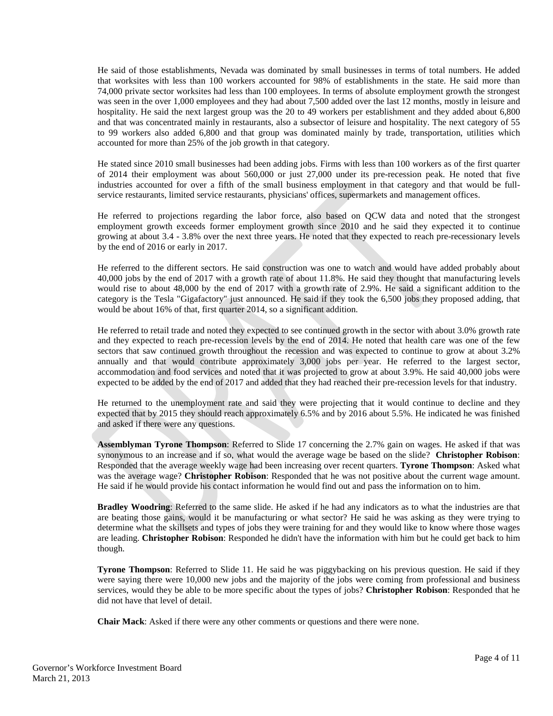He said of those establishments, Nevada was dominated by small businesses in terms of total numbers. He added that worksites with less than 100 workers accounted for 98% of establishments in the state. He said more than 74,000 private sector worksites had less than 100 employees. In terms of absolute employment growth the strongest was seen in the over 1,000 employees and they had about 7,500 added over the last 12 months, mostly in leisure and hospitality. He said the next largest group was the 20 to 49 workers per establishment and they added about 6,800 and that was concentrated mainly in restaurants, also a subsector of leisure and hospitality. The next category of 55 to 99 workers also added 6,800 and that group was dominated mainly by trade, transportation, utilities which accounted for more than 25% of the job growth in that category.

He stated since 2010 small businesses had been adding jobs. Firms with less than 100 workers as of the first quarter of 2014 their employment was about 560,000 or just 27,000 under its pre-recession peak. He noted that five industries accounted for over a fifth of the small business employment in that category and that would be fullservice restaurants, limited service restaurants, physicians' offices, supermarkets and management offices.

He referred to projections regarding the labor force, also based on QCW data and noted that the strongest employment growth exceeds former employment growth since 2010 and he said they expected it to continue growing at about 3.4 - 3.8% over the next three years. He noted that they expected to reach pre-recessionary levels by the end of 2016 or early in 2017.

He referred to the different sectors. He said construction was one to watch and would have added probably about 40,000 jobs by the end of 2017 with a growth rate of about 11.8%. He said they thought that manufacturing levels would rise to about 48,000 by the end of 2017 with a growth rate of 2.9%. He said a significant addition to the category is the Tesla "Gigafactory" just announced. He said if they took the 6,500 jobs they proposed adding, that would be about 16% of that, first quarter 2014, so a significant addition.

He referred to retail trade and noted they expected to see continued growth in the sector with about 3.0% growth rate and they expected to reach pre-recession levels by the end of 2014. He noted that health care was one of the few sectors that saw continued growth throughout the recession and was expected to continue to grow at about 3.2% annually and that would contribute approximately 3,000 jobs per year. He referred to the largest sector, accommodation and food services and noted that it was projected to grow at about 3.9%. He said 40,000 jobs were expected to be added by the end of 2017 and added that they had reached their pre-recession levels for that industry.

He returned to the unemployment rate and said they were projecting that it would continue to decline and they expected that by 2015 they should reach approximately 6.5% and by 2016 about 5.5%. He indicated he was finished and asked if there were any questions.

**Assemblyman Tyrone Thompson**: Referred to Slide 17 concerning the 2.7% gain on wages. He asked if that was synonymous to an increase and if so, what would the average wage be based on the slide? **Christopher Robison**: Responded that the average weekly wage had been increasing over recent quarters. **Tyrone Thompson**: Asked what was the average wage? **Christopher Robison**: Responded that he was not positive about the current wage amount. He said if he would provide his contact information he would find out and pass the information on to him.

**Bradley Woodring**: Referred to the same slide. He asked if he had any indicators as to what the industries are that are beating those gains, would it be manufacturing or what sector? He said he was asking as they were trying to determine what the skillsets and types of jobs they were training for and they would like to know where those wages are leading. **Christopher Robison**: Responded he didn't have the information with him but he could get back to him though.

**Tyrone Thompson**: Referred to Slide 11. He said he was piggybacking on his previous question. He said if they were saying there were 10,000 new jobs and the majority of the jobs were coming from professional and business services, would they be able to be more specific about the types of jobs? **Christopher Robison**: Responded that he did not have that level of detail.

**Chair Mack**: Asked if there were any other comments or questions and there were none.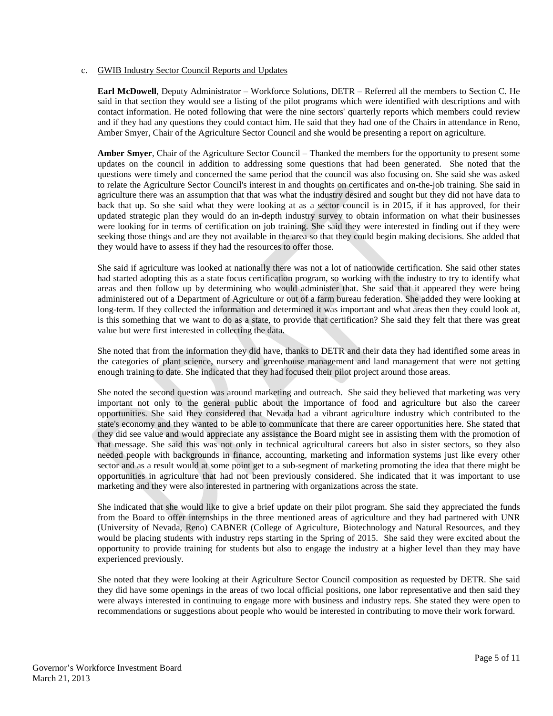#### c. GWIB Industry Sector Council Reports and Updates

**Earl McDowell**, Deputy Administrator – Workforce Solutions, DETR – Referred all the members to Section C. He said in that section they would see a listing of the pilot programs which were identified with descriptions and with contact information. He noted following that were the nine sectors' quarterly reports which members could review and if they had any questions they could contact him. He said that they had one of the Chairs in attendance in Reno, Amber Smyer, Chair of the Agriculture Sector Council and she would be presenting a report on agriculture.

**Amber Smyer**, Chair of the Agriculture Sector Council – Thanked the members for the opportunity to present some updates on the council in addition to addressing some questions that had been generated. She noted that the questions were timely and concerned the same period that the council was also focusing on. She said she was asked to relate the Agriculture Sector Council's interest in and thoughts on certificates and on-the-job training. She said in agriculture there was an assumption that that was what the industry desired and sought but they did not have data to back that up. So she said what they were looking at as a sector council is in 2015, if it has approved, for their updated strategic plan they would do an in-depth industry survey to obtain information on what their businesses were looking for in terms of certification on job training. She said they were interested in finding out if they were seeking those things and are they not available in the area so that they could begin making decisions. She added that they would have to assess if they had the resources to offer those.

She said if agriculture was looked at nationally there was not a lot of nationwide certification. She said other states had started adopting this as a state focus certification program, so working with the industry to try to identify what areas and then follow up by determining who would administer that. She said that it appeared they were being administered out of a Department of Agriculture or out of a farm bureau federation. She added they were looking at long-term. If they collected the information and determined it was important and what areas then they could look at, is this something that we want to do as a state, to provide that certification? She said they felt that there was great value but were first interested in collecting the data.

She noted that from the information they did have, thanks to DETR and their data they had identified some areas in the categories of plant science, nursery and greenhouse management and land management that were not getting enough training to date. She indicated that they had focused their pilot project around those areas.

She noted the second question was around marketing and outreach. She said they believed that marketing was very important not only to the general public about the importance of food and agriculture but also the career opportunities. She said they considered that Nevada had a vibrant agriculture industry which contributed to the state's economy and they wanted to be able to communicate that there are career opportunities here. She stated that they did see value and would appreciate any assistance the Board might see in assisting them with the promotion of that message. She said this was not only in technical agricultural careers but also in sister sectors, so they also needed people with backgrounds in finance, accounting, marketing and information systems just like every other sector and as a result would at some point get to a sub-segment of marketing promoting the idea that there might be opportunities in agriculture that had not been previously considered. She indicated that it was important to use marketing and they were also interested in partnering with organizations across the state.

She indicated that she would like to give a brief update on their pilot program. She said they appreciated the funds from the Board to offer internships in the three mentioned areas of agriculture and they had partnered with UNR (University of Nevada, Reno) CABNER (College of Agriculture, Biotechnology and Natural Resources, and they would be placing students with industry reps starting in the Spring of 2015. She said they were excited about the opportunity to provide training for students but also to engage the industry at a higher level than they may have experienced previously.

She noted that they were looking at their Agriculture Sector Council composition as requested by DETR. She said they did have some openings in the areas of two local official positions, one labor representative and then said they were always interested in continuing to engage more with business and industry reps. She stated they were open to recommendations or suggestions about people who would be interested in contributing to move their work forward.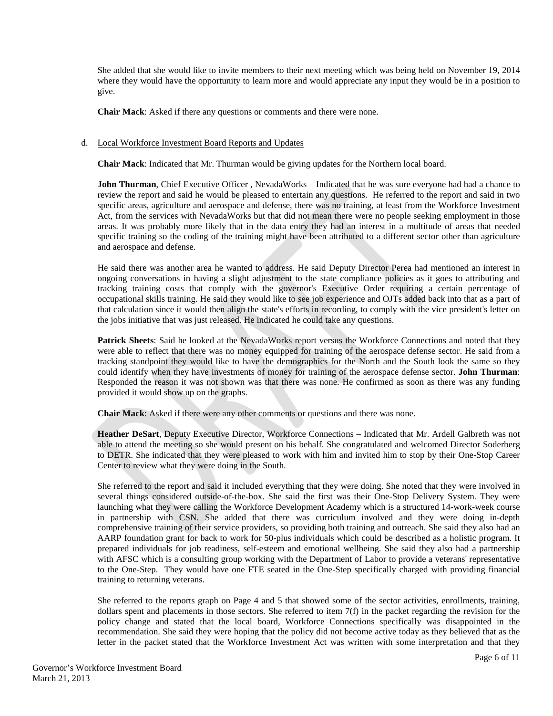She added that she would like to invite members to their next meeting which was being held on November 19, 2014 where they would have the opportunity to learn more and would appreciate any input they would be in a position to give.

**Chair Mack**: Asked if there any questions or comments and there were none.

### d. Local Workforce Investment Board Reports and Updates

**Chair Mack**: Indicated that Mr. Thurman would be giving updates for the Northern local board.

**John Thurman**, Chief Executive Officer , NevadaWorks – Indicated that he was sure everyone had had a chance to review the report and said he would be pleased to entertain any questions. He referred to the report and said in two specific areas, agriculture and aerospace and defense, there was no training, at least from the Workforce Investment Act, from the services with NevadaWorks but that did not mean there were no people seeking employment in those areas. It was probably more likely that in the data entry they had an interest in a multitude of areas that needed specific training so the coding of the training might have been attributed to a different sector other than agriculture and aerospace and defense.

He said there was another area he wanted to address. He said Deputy Director Perea had mentioned an interest in ongoing conversations in having a slight adjustment to the state compliance policies as it goes to attributing and tracking training costs that comply with the governor's Executive Order requiring a certain percentage of occupational skills training. He said they would like to see job experience and OJTs added back into that as a part of that calculation since it would then align the state's efforts in recording, to comply with the vice president's letter on the jobs initiative that was just released. He indicated he could take any questions.

**Patrick Sheets**: Said he looked at the NevadaWorks report versus the Workforce Connections and noted that they were able to reflect that there was no money equipped for training of the aerospace defense sector. He said from a tracking standpoint they would like to have the demographics for the North and the South look the same so they could identify when they have investments of money for training of the aerospace defense sector. **John Thurman**: Responded the reason it was not shown was that there was none. He confirmed as soon as there was any funding provided it would show up on the graphs.

**Chair Mack**: Asked if there were any other comments or questions and there was none.

**Heather DeSart**, Deputy Executive Director, Workforce Connections – Indicated that Mr. Ardell Galbreth was not able to attend the meeting so she would present on his behalf. She congratulated and welcomed Director Soderberg to DETR. She indicated that they were pleased to work with him and invited him to stop by their One-Stop Career Center to review what they were doing in the South.

She referred to the report and said it included everything that they were doing. She noted that they were involved in several things considered outside-of-the-box. She said the first was their One-Stop Delivery System. They were launching what they were calling the Workforce Development Academy which is a structured 14-work-week course in partnership with CSN. She added that there was curriculum involved and they were doing in-depth comprehensive training of their service providers, so providing both training and outreach. She said they also had an AARP foundation grant for back to work for 50-plus individuals which could be described as a holistic program. It prepared individuals for job readiness, self-esteem and emotional wellbeing. She said they also had a partnership with AFSC which is a consulting group working with the Department of Labor to provide a veterans' representative to the One-Step. They would have one FTE seated in the One-Step specifically charged with providing financial training to returning veterans.

She referred to the reports graph on Page 4 and 5 that showed some of the sector activities, enrollments, training, dollars spent and placements in those sectors. She referred to item 7(f) in the packet regarding the revision for the policy change and stated that the local board, Workforce Connections specifically was disappointed in the recommendation. She said they were hoping that the policy did not become active today as they believed that as the letter in the packet stated that the Workforce Investment Act was written with some interpretation and that they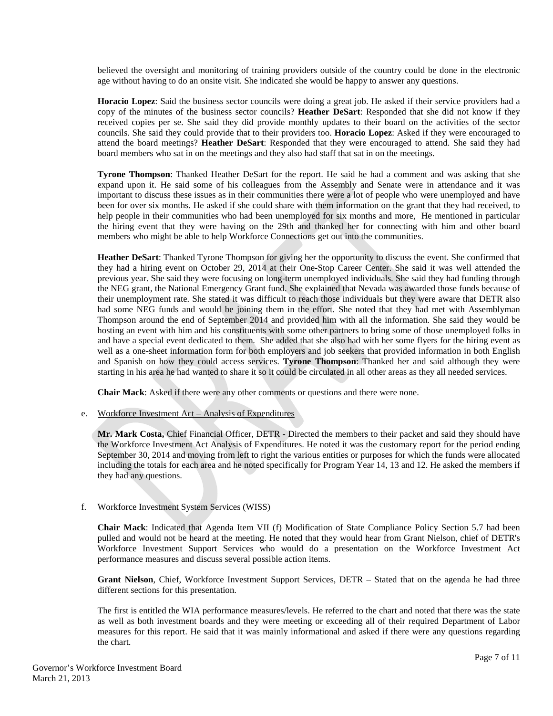believed the oversight and monitoring of training providers outside of the country could be done in the electronic age without having to do an onsite visit. She indicated she would be happy to answer any questions.

**Horacio Lopez**: Said the business sector councils were doing a great job. He asked if their service providers had a copy of the minutes of the business sector councils? **Heather DeSart**: Responded that she did not know if they received copies per se. She said they did provide monthly updates to their board on the activities of the sector councils. She said they could provide that to their providers too. **Horacio Lopez**: Asked if they were encouraged to attend the board meetings? **Heather DeSart**: Responded that they were encouraged to attend. She said they had board members who sat in on the meetings and they also had staff that sat in on the meetings.

**Tyrone Thompson**: Thanked Heather DeSart for the report. He said he had a comment and was asking that she expand upon it. He said some of his colleagues from the Assembly and Senate were in attendance and it was important to discuss these issues as in their communities there were a lot of people who were unemployed and have been for over six months. He asked if she could share with them information on the grant that they had received, to help people in their communities who had been unemployed for six months and more, He mentioned in particular the hiring event that they were having on the 29th and thanked her for connecting with him and other board members who might be able to help Workforce Connections get out into the communities.

**Heather DeSart**: Thanked Tyrone Thompson for giving her the opportunity to discuss the event. She confirmed that they had a hiring event on October 29, 2014 at their One-Stop Career Center. She said it was well attended the previous year. She said they were focusing on long-term unemployed individuals. She said they had funding through the NEG grant, the National Emergency Grant fund. She explained that Nevada was awarded those funds because of their unemployment rate. She stated it was difficult to reach those individuals but they were aware that DETR also had some NEG funds and would be joining them in the effort. She noted that they had met with Assemblyman Thompson around the end of September 2014 and provided him with all the information. She said they would be hosting an event with him and his constituents with some other partners to bring some of those unemployed folks in and have a special event dedicated to them. She added that she also had with her some flyers for the hiring event as well as a one-sheet information form for both employers and job seekers that provided information in both English and Spanish on how they could access services. **Tyrone Thompson**: Thanked her and said although they were starting in his area he had wanted to share it so it could be circulated in all other areas as they all needed services.

**Chair Mack**: Asked if there were any other comments or questions and there were none.

e. Workforce Investment Act – Analysis of Expenditures

**Mr. Mark Costa,** Chief Financial Officer, DETR - Directed the members to their packet and said they should have the Workforce Investment Act Analysis of Expenditures. He noted it was the customary report for the period ending September 30, 2014 and moving from left to right the various entities or purposes for which the funds were allocated including the totals for each area and he noted specifically for Program Year 14, 13 and 12. He asked the members if they had any questions.

## f. Workforce Investment System Services (WISS)

**Chair Mack**: Indicated that Agenda Item VII (f) Modification of State Compliance Policy Section 5.7 had been pulled and would not be heard at the meeting. He noted that they would hear from Grant Nielson, chief of DETR's Workforce Investment Support Services who would do a presentation on the Workforce Investment Act performance measures and discuss several possible action items.

**Grant Nielson**, Chief, Workforce Investment Support Services, DETR – Stated that on the agenda he had three different sections for this presentation.

The first is entitled the WIA performance measures/levels. He referred to the chart and noted that there was the state as well as both investment boards and they were meeting or exceeding all of their required Department of Labor measures for this report. He said that it was mainly informational and asked if there were any questions regarding the chart.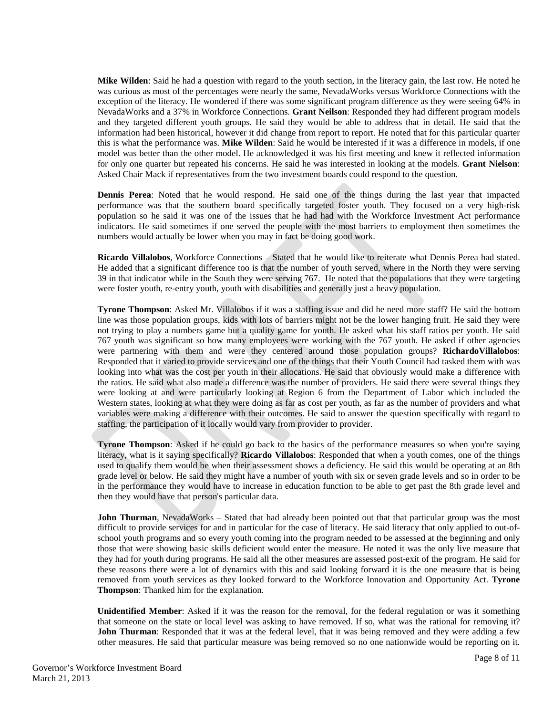**Mike Wilden**: Said he had a question with regard to the youth section, in the literacy gain, the last row. He noted he was curious as most of the percentages were nearly the same, NevadaWorks versus Workforce Connections with the exception of the literacy. He wondered if there was some significant program difference as they were seeing 64% in NevadaWorks and a 37% in Workforce Connections. **Grant Neilson**: Responded they had different program models and they targeted different youth groups. He said they would be able to address that in detail. He said that the information had been historical, however it did change from report to report. He noted that for this particular quarter this is what the performance was. **Mike Wilden**: Said he would be interested if it was a difference in models, if one model was better than the other model. He acknowledged it was his first meeting and knew it reflected information for only one quarter but repeated his concerns. He said he was interested in looking at the models. **Grant Nielson**: Asked Chair Mack if representatives from the two investment boards could respond to the question.

**Dennis Perea**: Noted that he would respond. He said one of the things during the last year that impacted performance was that the southern board specifically targeted foster youth. They focused on a very high-risk population so he said it was one of the issues that he had had with the Workforce Investment Act performance indicators. He said sometimes if one served the people with the most barriers to employment then sometimes the numbers would actually be lower when you may in fact be doing good work.

**Ricardo Villalobos**, Workforce Connections – Stated that he would like to reiterate what Dennis Perea had stated. He added that a significant difference too is that the number of youth served, where in the North they were serving 39 in that indicator while in the South they were serving 767. He noted that the populations that they were targeting were foster youth, re-entry youth, youth with disabilities and generally just a heavy population.

**Tyrone Thompson**: Asked Mr. Villalobos if it was a staffing issue and did he need more staff? He said the bottom line was those population groups, kids with lots of barriers might not be the lower hanging fruit. He said they were not trying to play a numbers game but a quality game for youth. He asked what his staff ratios per youth. He said 767 youth was significant so how many employees were working with the 767 youth. He asked if other agencies were partnering with them and were they centered around those population groups? **RichardoVillalobos**: Responded that it varied to provide services and one of the things that their Youth Council had tasked them with was looking into what was the cost per youth in their allocations. He said that obviously would make a difference with the ratios. He said what also made a difference was the number of providers. He said there were several things they were looking at and were particularly looking at Region 6 from the Department of Labor which included the Western states, looking at what they were doing as far as cost per youth, as far as the number of providers and what variables were making a difference with their outcomes. He said to answer the question specifically with regard to staffing, the participation of it locally would vary from provider to provider.

**Tyrone Thompson**: Asked if he could go back to the basics of the performance measures so when you're saying literacy, what is it saying specifically? **Ricardo Villalobos**: Responded that when a youth comes, one of the things used to qualify them would be when their assessment shows a deficiency. He said this would be operating at an 8th grade level or below. He said they might have a number of youth with six or seven grade levels and so in order to be in the performance they would have to increase in education function to be able to get past the 8th grade level and then they would have that person's particular data.

**John Thurman**, NevadaWorks – Stated that had already been pointed out that that particular group was the most difficult to provide services for and in particular for the case of literacy. He said literacy that only applied to out-ofschool youth programs and so every youth coming into the program needed to be assessed at the beginning and only those that were showing basic skills deficient would enter the measure. He noted it was the only live measure that they had for youth during programs. He said all the other measures are assessed post-exit of the program. He said for these reasons there were a lot of dynamics with this and said looking forward it is the one measure that is being removed from youth services as they looked forward to the Workforce Innovation and Opportunity Act. **Tyrone Thompson**: Thanked him for the explanation.

**Unidentified Member**: Asked if it was the reason for the removal, for the federal regulation or was it something that someone on the state or local level was asking to have removed. If so, what was the rational for removing it? **John Thurman**: Responded that it was at the federal level, that it was being removed and they were adding a few other measures. He said that particular measure was being removed so no one nationwide would be reporting on it.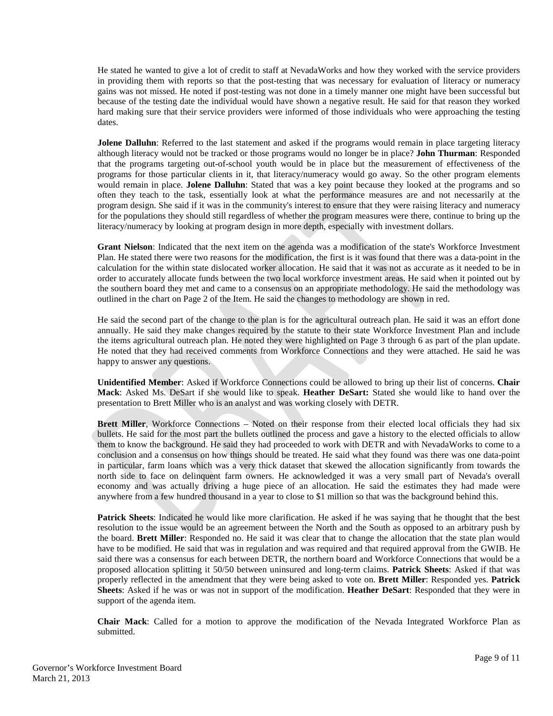He stated he wanted to give a lot of credit to staff at NevadaWorks and how they worked with the service providers in providing them with reports so that the post-testing that was necessary for evaluation of literacy or numeracy gains was not missed. He noted if post-testing was not done in a timely manner one might have been successful but because of the testing date the individual would have shown a negative result. He said for that reason they worked hard making sure that their service providers were informed of those individuals who were approaching the testing dates.

**Jolene Dalluhn**: Referred to the last statement and asked if the programs would remain in place targeting literacy although literacy would not be tracked or those programs would no longer be in place? **John Thurman**: Responded that the programs targeting out-of-school youth would be in place but the measurement of effectiveness of the programs for those particular clients in it, that literacy/numeracy would go away. So the other program elements would remain in place. **Jolene Dalluhn**: Stated that was a key point because they looked at the programs and so often they teach to the task, essentially look at what the performance measures are and not necessarily at the program design. She said if it was in the community's interest to ensure that they were raising literacy and numeracy for the populations they should still regardless of whether the program measures were there, continue to bring up the literacy/numeracy by looking at program design in more depth, especially with investment dollars.

**Grant Nielson**: Indicated that the next item on the agenda was a modification of the state's Workforce Investment Plan. He stated there were two reasons for the modification, the first is it was found that there was a data-point in the calculation for the within state dislocated worker allocation. He said that it was not as accurate as it needed to be in order to accurately allocate funds between the two local workforce investment areas. He said when it pointed out by the southern board they met and came to a consensus on an appropriate methodology. He said the methodology was outlined in the chart on Page 2 of the Item. He said the changes to methodology are shown in red.

He said the second part of the change to the plan is for the agricultural outreach plan. He said it was an effort done annually. He said they make changes required by the statute to their state Workforce Investment Plan and include the items agricultural outreach plan. He noted they were highlighted on Page 3 through 6 as part of the plan update. He noted that they had received comments from Workforce Connections and they were attached. He said he was happy to answer any questions.

**Unidentified Member**: Asked if Workforce Connections could be allowed to bring up their list of concerns. **Chair Mack**: Asked Ms. DeSart if she would like to speak. **Heather DeSart:** Stated she would like to hand over the presentation to Brett Miller who is an analyst and was working closely with DETR.

**Brett Miller**, Workforce Connections – Noted on their response from their elected local officials they had six bullets. He said for the most part the bullets outlined the process and gave a history to the elected officials to allow them to know the background. He said they had proceeded to work with DETR and with NevadaWorks to come to a conclusion and a consensus on how things should be treated. He said what they found was there was one data-point in particular, farm loans which was a very thick dataset that skewed the allocation significantly from towards the north side to face on delinquent farm owners. He acknowledged it was a very small part of Nevada's overall economy and was actually driving a huge piece of an allocation. He said the estimates they had made were anywhere from a few hundred thousand in a year to close to \$1 million so that was the background behind this.

**Patrick Sheets**: Indicated he would like more clarification. He asked if he was saying that he thought that the best resolution to the issue would be an agreement between the North and the South as opposed to an arbitrary push by the board. **Brett Miller**: Responded no. He said it was clear that to change the allocation that the state plan would have to be modified. He said that was in regulation and was required and that required approval from the GWIB. He said there was a consensus for each between DETR, the northern board and Workforce Connections that would be a proposed allocation splitting it 50/50 between uninsured and long-term claims. **Patrick Sheets**: Asked if that was properly reflected in the amendment that they were being asked to vote on. **Brett Miller**: Responded yes. **Patrick Sheets**: Asked if he was or was not in support of the modification. **Heather DeSart**: Responded that they were in support of the agenda item.

**Chair Mack**: Called for a motion to approve the modification of the Nevada Integrated Workforce Plan as submitted.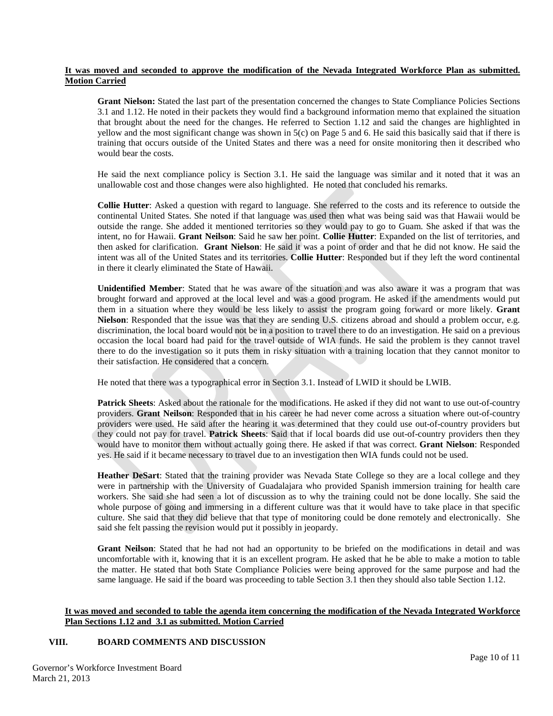## **It was moved and seconded to approve the modification of the Nevada Integrated Workforce Plan as submitted. Motion Carried**

**Grant Nielson:** Stated the last part of the presentation concerned the changes to State Compliance Policies Sections 3.1 and 1.12. He noted in their packets they would find a background information memo that explained the situation that brought about the need for the changes. He referred to Section 1.12 and said the changes are highlighted in yellow and the most significant change was shown in 5(c) on Page 5 and 6. He said this basically said that if there is training that occurs outside of the United States and there was a need for onsite monitoring then it described who would bear the costs.

He said the next compliance policy is Section 3.1. He said the language was similar and it noted that it was an unallowable cost and those changes were also highlighted. He noted that concluded his remarks.

**Collie Hutter**: Asked a question with regard to language. She referred to the costs and its reference to outside the continental United States. She noted if that language was used then what was being said was that Hawaii would be outside the range. She added it mentioned territories so they would pay to go to Guam. She asked if that was the intent, no for Hawaii. **Grant Neilson**: Said he saw her point. **Collie Hutter**: Expanded on the list of territories, and then asked for clarification. **Grant Nielson**: He said it was a point of order and that he did not know. He said the intent was all of the United States and its territories. **Collie Hutter**: Responded but if they left the word continental in there it clearly eliminated the State of Hawaii.

**Unidentified Member**: Stated that he was aware of the situation and was also aware it was a program that was brought forward and approved at the local level and was a good program. He asked if the amendments would put them in a situation where they would be less likely to assist the program going forward or more likely. **Grant Nielson**: Responded that the issue was that they are sending U.S. citizens abroad and should a problem occur, e.g. discrimination, the local board would not be in a position to travel there to do an investigation. He said on a previous occasion the local board had paid for the travel outside of WIA funds. He said the problem is they cannot travel there to do the investigation so it puts them in risky situation with a training location that they cannot monitor to their satisfaction. He considered that a concern.

He noted that there was a typographical error in Section 3.1. Instead of LWID it should be LWIB.

**Patrick Sheets**: Asked about the rationale for the modifications. He asked if they did not want to use out-of-country providers. **Grant Neilson**: Responded that in his career he had never come across a situation where out-of-country providers were used. He said after the hearing it was determined that they could use out-of-country providers but they could not pay for travel. **Patrick Sheets**: Said that if local boards did use out-of-country providers then they would have to monitor them without actually going there. He asked if that was correct. **Grant Nielson**: Responded yes. He said if it became necessary to travel due to an investigation then WIA funds could not be used.

**Heather DeSart**: Stated that the training provider was Nevada State College so they are a local college and they were in partnership with the University of Guadalajara who provided Spanish immersion training for health care workers. She said she had seen a lot of discussion as to why the training could not be done locally. She said the whole purpose of going and immersing in a different culture was that it would have to take place in that specific culture. She said that they did believe that that type of monitoring could be done remotely and electronically. She said she felt passing the revision would put it possibly in jeopardy.

**Grant Neilson**: Stated that he had not had an opportunity to be briefed on the modifications in detail and was uncomfortable with it, knowing that it is an excellent program. He asked that he be able to make a motion to table the matter. He stated that both State Compliance Policies were being approved for the same purpose and had the same language. He said if the board was proceeding to table Section 3.1 then they should also table Section 1.12.

## **It was moved and seconded to table the agenda item concerning the modification of the Nevada Integrated Workforce Plan Sections 1.12 and 3.1 as submitted. Motion Carried**

## **VIII. BOARD COMMENTS AND DISCUSSION**